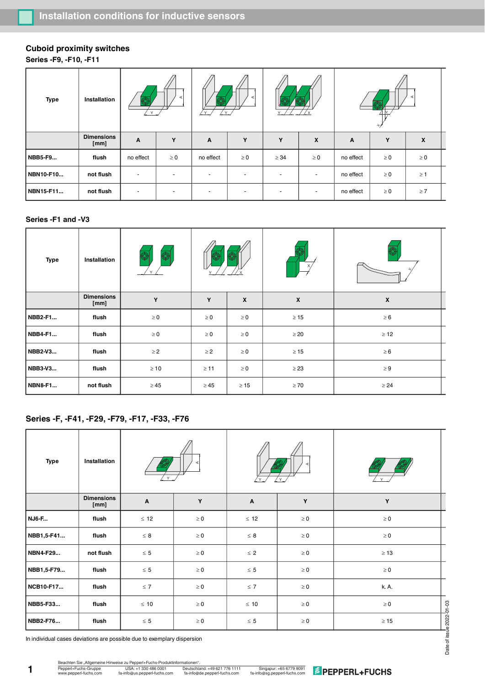# **Cuboid proximity switches**

**Series -F9, -F10, -F11**

| <b>Type</b> | Installation              | $\checkmark$             |                          | c<br>Y<br>$\checkmark$   |                          | $\ddot{\phantom{0}}$     |                          | $^{+/}$   |          |          |  |
|-------------|---------------------------|--------------------------|--------------------------|--------------------------|--------------------------|--------------------------|--------------------------|-----------|----------|----------|--|
|             | <b>Dimensions</b><br>[mm] | A                        | Y                        | A                        | Y                        | Y                        | $\boldsymbol{x}$         | A         | Y        | X        |  |
| NBB5-F9     | flush                     | no effect                | $\geq 0$                 | no effect                | $\geq 0$                 | $\geq$ 34                | $\geq 0$                 | no effect | $\geq 0$ | $\geq 0$ |  |
| NBN10-F10   | not flush                 |                          | $\overline{\phantom{a}}$ | $\overline{\phantom{a}}$ | $\overline{\phantom{a}}$ |                          |                          | no effect | $\geq 0$ | $\geq 1$ |  |
| NBN15-F11   | not flush                 | $\overline{\phantom{a}}$ | $\overline{\phantom{a}}$ |                          |                          | $\overline{\phantom{a}}$ | $\overline{\phantom{a}}$ | no effect | $\geq 0$ | $\geq 7$ |  |

### **Series -F1 and -V3**

| <b>Type</b>    | Installation              | ₫         |           |                  |                  |                           |  |
|----------------|---------------------------|-----------|-----------|------------------|------------------|---------------------------|--|
|                | <b>Dimensions</b><br>[mm] | Y         | Y         | $\boldsymbol{x}$ | $\boldsymbol{x}$ | $\boldsymbol{\mathsf{x}}$ |  |
| NBB2-F1        | flush                     | $\geq 0$  | $\geq 0$  | $\geq 0$         | $\geq 15$        | $\geq 6$                  |  |
| NBB4-F1        | flush                     | $\geq 0$  | $\geq 0$  | $\geq 0$         | $\geq$ 20        | $\geq 12$                 |  |
| NBB2-V3        | flush                     | $\geq$ 2  | $\geq$ 2  | $\geq 0$         | $\geq 15$        | $\geq 6$                  |  |
| NBB3-V3        | flush                     | $\geq 10$ | $\geq 11$ | $\geq 0$         | $\geq$ 23        | $\geq 9$                  |  |
| <b>NBN8-F1</b> | not flush                 | $\geq 45$ | $\geq 45$ | $\geq 15$        | $\geq 70$        | $\geq 24$                 |  |

## **Series -F, -F41, -F29, -F79, -F17, -F33, -F76**

| <b>Type</b>                                                                                         | Installation              |                      |          |                      |          |           |  |  |
|-----------------------------------------------------------------------------------------------------|---------------------------|----------------------|----------|----------------------|----------|-----------|--|--|
|                                                                                                     | <b>Dimensions</b><br>[mm] | Y<br>Α               |          | A                    | Y        | Y         |  |  |
| <b>NJ6-F</b>                                                                                        | flush                     | $\leq 12$            | $\geq 0$ | $\leq 12$            | $\geq 0$ | $\geq 0$  |  |  |
| NBB1,5-F41                                                                                          | flush                     | $\leq 8$             | $\geq 0$ | $\leq 8$             | $\geq 0$ | $\geq 0$  |  |  |
| NBN4-F29                                                                                            | not flush                 | $\leq 5$             | $\geq 0$ | $\leq 2$             | $\geq 0$ | $\geq 13$ |  |  |
| NBB1,5-F79                                                                                          | flush                     | $\leq 5$<br>$\geq 0$ |          | $\leq 5$             | $\geq 0$ | $\geq 0$  |  |  |
| NCB10-F17                                                                                           | flush                     | $\leq 7$             | $\geq 0$ | $\leq 7$             | $\geq 0$ | k. A.     |  |  |
| NBB5-F33                                                                                            | flush                     | $\leq 10$            | $\geq 0$ | $\leq 10$            | $\geq 0$ | $\geq 0$  |  |  |
| NBB2-F76                                                                                            | flush                     | $\leq 5$<br>$\geq 0$ |          | $\leq 5$<br>$\geq 0$ |          | $\geq 15$ |  |  |
| Date of issue 2022-01-03<br>In individual cases deviations are possible due to exemplary dispersion |                           |                      |          |                      |          |           |  |  |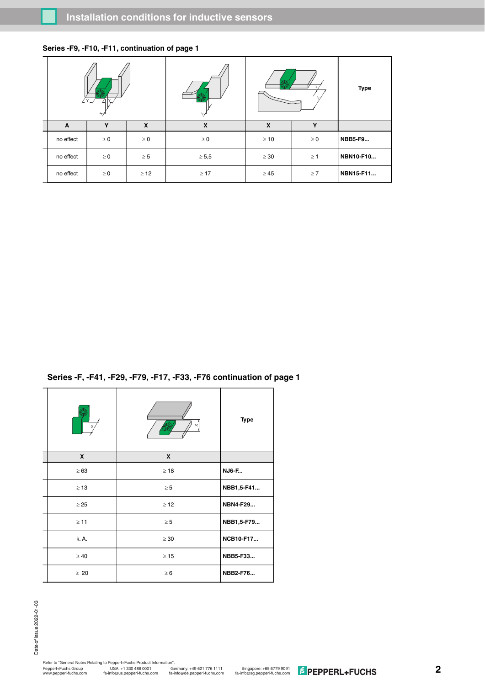| <u>′ ү_</u><br>$^{+/}$ |          | $_{\rm +}$ |            | <b>Type</b>           |          |                |
|------------------------|----------|------------|------------|-----------------------|----------|----------------|
| A                      | Y        | X          | X          | $\boldsymbol{x}$<br>Y |          |                |
| no effect              | $\geq 0$ | $\geq 0$   | $\geq 0$   | $\geq 10$             | $\geq 0$ | <b>NBB5-F9</b> |
| no effect              | $\geq 0$ | $\geq 5$   | $\geq 5,5$ | $\geq 30$             | $\geq 1$ | NBN10-F10      |
| no effect              | $\geq 0$ | $\geq$ 12  | $\geq 17$  | $\geq 45$             | $\geq 7$ | NBN15-F11      |

### **Series -F9, -F10, -F11, continuation of page 1**

**Series -F, -F41, -F29, -F79, -F17, -F33, -F76 continuation of page 1**

|           | $\times$     | <b>Type</b>  |
|-----------|--------------|--------------|
| X         | $\mathbf{x}$ |              |
| $\geq 63$ | $\geq 18$    | <b>NJ6-F</b> |
| $\geq 13$ | $\geq 5$     | NBB1,5-F41   |
| $\geq$ 25 | $\geq$ 12    | NBN4-F29     |
| $\geq 11$ | $\geq 5$     | NBB1,5-F79   |
| k. A.     | $\geq 30$    | NCB10-F17    |
| $\geq 40$ | $\geq 15$    | NBB5-F33     |
| $\geq 20$ | $\geq 6$     | NBB2-F76     |